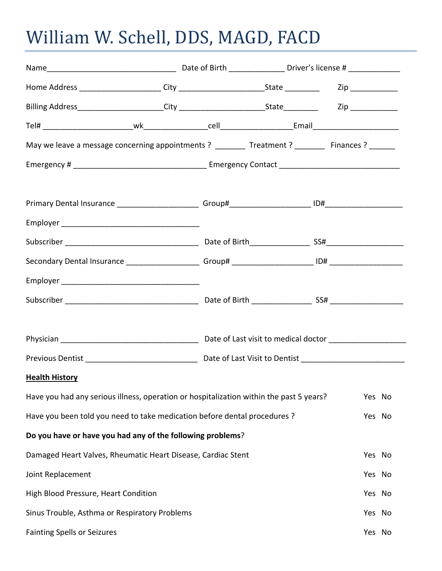## William W. Schell, DDS, MAGD, FACD

| May we leave a message concerning appointments ? ________ Treatment ? _______ Finances ? ______ |  |  |  |        |  |
|-------------------------------------------------------------------------------------------------|--|--|--|--------|--|
|                                                                                                 |  |  |  |        |  |
|                                                                                                 |  |  |  |        |  |
|                                                                                                 |  |  |  |        |  |
|                                                                                                 |  |  |  |        |  |
|                                                                                                 |  |  |  |        |  |
|                                                                                                 |  |  |  |        |  |
|                                                                                                 |  |  |  |        |  |
|                                                                                                 |  |  |  |        |  |
|                                                                                                 |  |  |  |        |  |
| <b>Health History</b>                                                                           |  |  |  |        |  |
| Have you had any serious illness, operation or hospitalization within the past 5 years?         |  |  |  | Yes No |  |
| Have you been told you need to take medication before dental procedures ?                       |  |  |  | Yes No |  |
| Do you have or have you had any of the following problems?                                      |  |  |  |        |  |
| Damaged Heart Valves, Rheumatic Heart Disease, Cardiac Stent                                    |  |  |  | Yes No |  |
| Joint Replacement                                                                               |  |  |  | Yes No |  |
| High Blood Pressure, Heart Condition                                                            |  |  |  | Yes No |  |
| Sinus Trouble, Asthma or Respiratory Problems                                                   |  |  |  | Yes No |  |
| <b>Fainting Spells or Seizures</b>                                                              |  |  |  | Yes No |  |